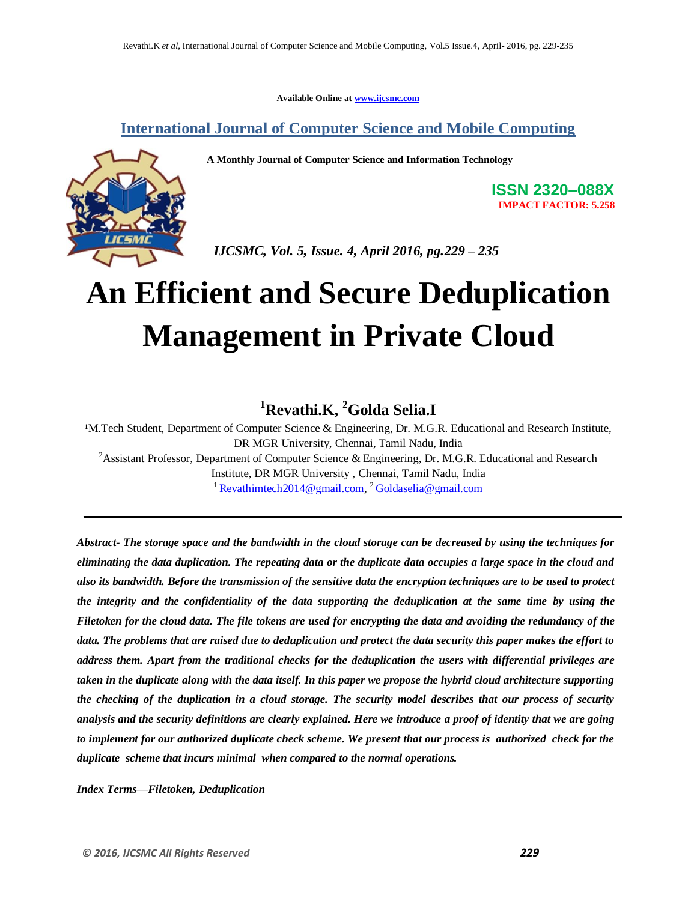**Available Online at www.ijcsmc.com**

**International Journal of Computer Science and Mobile Computing**

 **A Monthly Journal of Computer Science and Information Technology**



**ISSN 2320–088X IMPACT FACTOR: 5.258**

 *IJCSMC, Vol. 5, Issue. 4, April 2016, pg.229 – 235*

# **An Efficient and Secure Deduplication Management in Private Cloud**

# **<sup>1</sup>Revathi.K, <sup>2</sup>Golda Selia.I**

<sup>1</sup>M.Tech Student, Department of Computer Science & Engineering, Dr. M.G.R. Educational and Research Institute, DR MGR University, Chennai, Tamil Nadu, India <sup>2</sup>Assistant Professor, Department of Computer Science & Engineering, Dr. M.G.R. Educational and Research Institute, DR MGR University , Chennai, Tamil Nadu, India <sup>1</sup> Revathimtech2014@gmail.com, <sup>2</sup> Goldaselia@gmail.com

*Abstract- The storage space and the bandwidth in the cloud storage can be decreased by using the techniques for eliminating the data duplication. The repeating data or the duplicate data occupies a large space in the cloud and also its bandwidth. Before the transmission of the sensitive data the encryption techniques are to be used to protect the integrity and the confidentiality of the data supporting the deduplication at the same time by using the Filetoken for the cloud data. The file tokens are used for encrypting the data and avoiding the redundancy of the data. The problems that are raised due to deduplication and protect the data security this paper makes the effort to address them. Apart from the traditional checks for the deduplication the users with differential privileges are taken in the duplicate along with the data itself. In this paper we propose the hybrid cloud architecture supporting the checking of the duplication in a cloud storage. The security model describes that our process of security analysis and the security definitions are clearly explained. Here we introduce a proof of identity that we are going to implement for our authorized duplicate check scheme. We present that our process is authorized check for the duplicate scheme that incurs minimal when compared to the normal operations.*

*Index Terms—Filetoken, Deduplication*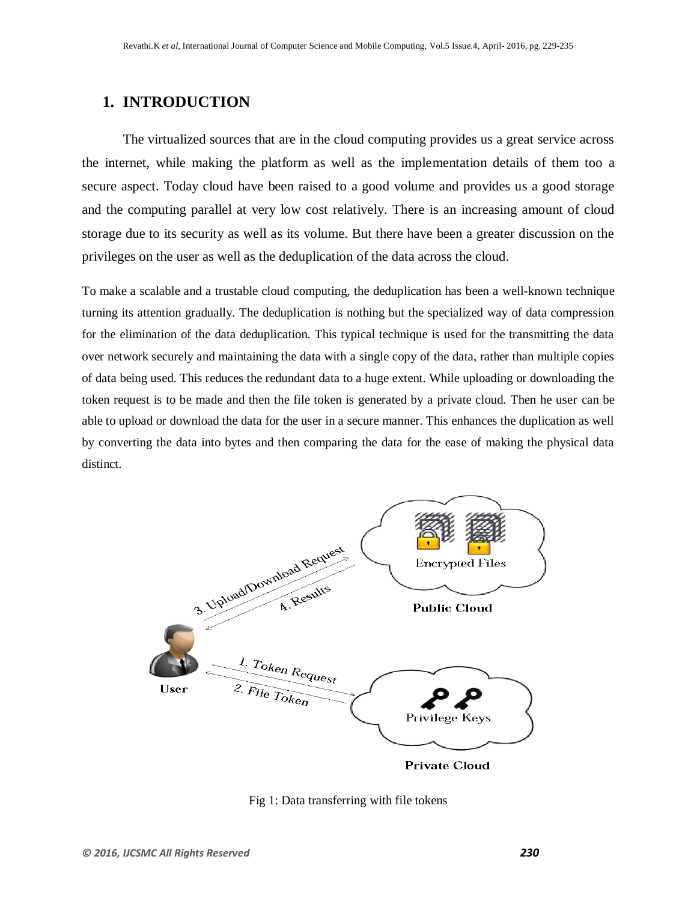# **1. INTRODUCTION**

The virtualized sources that are in the cloud computing provides us a great service across the internet, while making the platform as well as the implementation details of them too a secure aspect. Today cloud have been raised to a good volume and provides us a good storage and the computing parallel at very low cost relatively. There is an increasing amount of cloud storage due to its security as well as its volume. But there have been a greater discussion on the privileges on the user as well as the deduplication of the data across the cloud.

To make a scalable and a trustable cloud computing, the deduplication has been a well-known technique turning its attention gradually. The deduplication is nothing but the specialized way of data compression for the elimination of the data deduplication. This typical technique is used for the transmitting the data over network securely and maintaining the data with a single copy of the data, rather than multiple copies of data being used. This reduces the redundant data to a huge extent. While uploading or downloading the token request is to be made and then the file token is generated by a private cloud. Then he user can be able to upload or download the data for the user in a secure manner. This enhances the duplication as well by converting the data into bytes and then comparing the data for the ease of making the physical data distinct.



Fig 1: Data transferring with file tokens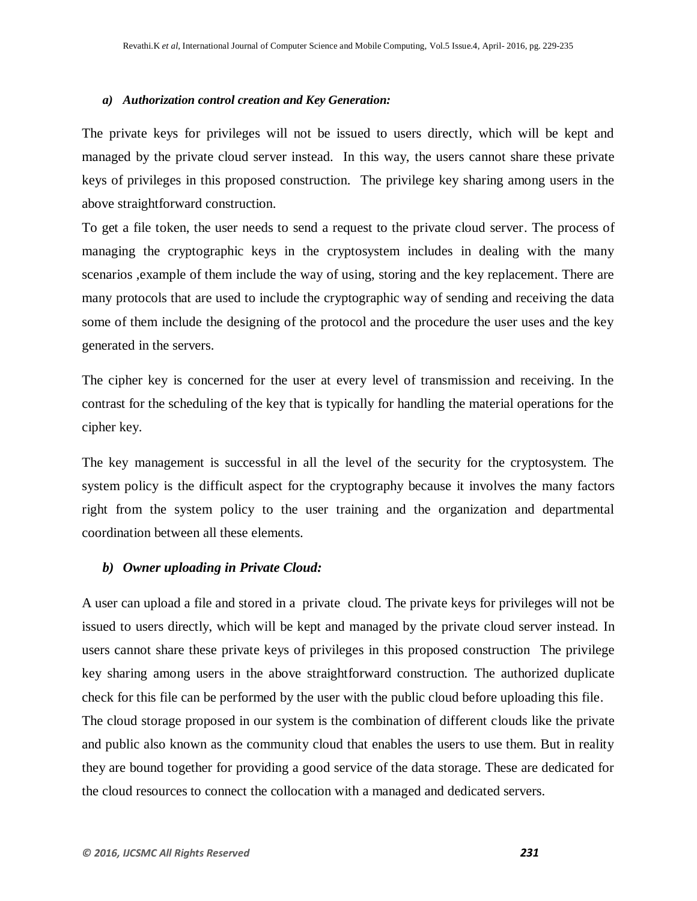#### *a) Authorization control creation and Key Generation:*

The private keys for privileges will not be issued to users directly, which will be kept and managed by the private cloud server instead. In this way, the users cannot share these private keys of privileges in this proposed construction. The privilege key sharing among users in the above straightforward construction.

To get a file token, the user needs to send a request to the private cloud server. The process of managing the cryptographic keys in the cryptosystem includes in dealing with the many scenarios ,example of them include the way of using, storing and the key replacement. There are many protocols that are used to include the cryptographic way of sending and receiving the data some of them include the designing of the protocol and the procedure the user uses and the key generated in the servers.

The cipher key is concerned for the user at every level of transmission and receiving. In the contrast for the scheduling of the key that is typically for handling the material operations for the cipher key.

The key management is successful in all the level of the security for the cryptosystem. The system policy is the difficult aspect for the cryptography because it involves the many factors right from the system policy to the user training and the organization and departmental coordination between all these elements.

#### *b) Owner uploading in Private Cloud:*

A user can upload a file and stored in a private cloud. The private keys for privileges will not be issued to users directly, which will be kept and managed by the private cloud server instead. In users cannot share these private keys of privileges in this proposed construction The privilege key sharing among users in the above straightforward construction. The authorized duplicate check for this file can be performed by the user with the public cloud before uploading this file. The cloud storage proposed in our system is the combination of different clouds like the private and public also known as the community cloud that enables the users to use them. But in reality they are bound together for providing a good service of the data storage. These are dedicated for the cloud resources to connect the collocation with a managed and dedicated servers.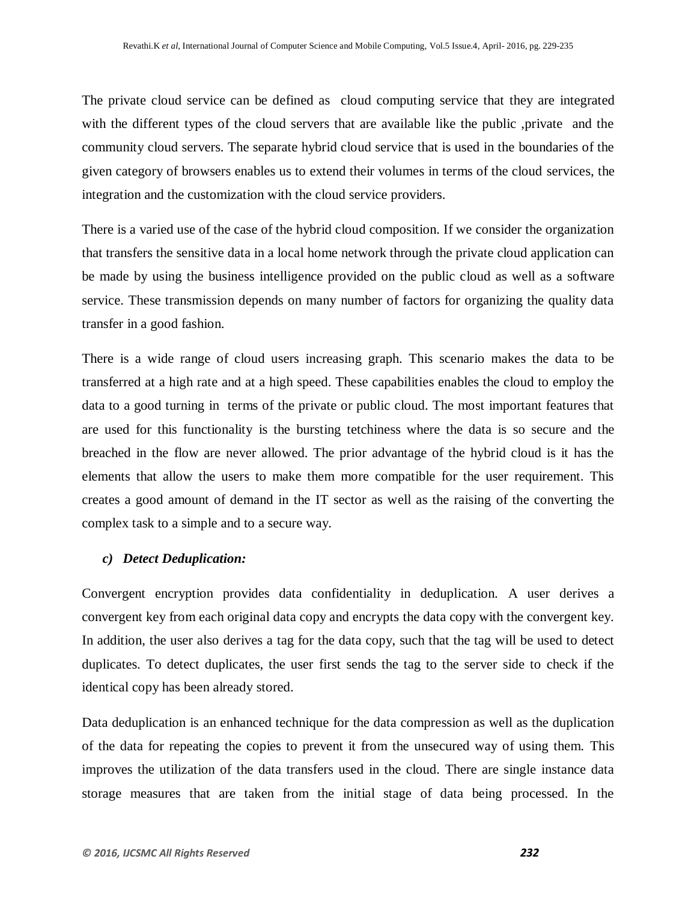The private cloud service can be defined as cloud computing service that they are integrated with the different types of the cloud servers that are available like the public, private and the community cloud servers. The separate hybrid cloud service that is used in the boundaries of the given category of browsers enables us to extend their volumes in terms of the cloud services, the integration and the customization with the cloud service providers.

There is a varied use of the case of the hybrid cloud composition. If we consider the organization that transfers the sensitive data in a local home network through the private cloud application can be made by using the business intelligence provided on the public cloud as well as a software service. These transmission depends on many number of factors for organizing the quality data transfer in a good fashion.

There is a wide range of cloud users increasing graph. This scenario makes the data to be transferred at a high rate and at a high speed. These capabilities enables the cloud to employ the data to a good turning in terms of the private or public cloud. The most important features that are used for this functionality is the bursting tetchiness where the data is so secure and the breached in the flow are never allowed. The prior advantage of the hybrid cloud is it has the elements that allow the users to make them more compatible for the user requirement. This creates a good amount of demand in the IT sector as well as the raising of the converting the complex task to a simple and to a secure way.

## *c) Detect Deduplication:*

Convergent encryption provides data confidentiality in deduplication. A user derives a convergent key from each original data copy and encrypts the data copy with the convergent key. In addition, the user also derives a tag for the data copy, such that the tag will be used to detect duplicates. To detect duplicates, the user first sends the tag to the server side to check if the identical copy has been already stored.

Data deduplication is an enhanced technique for the data compression as well as the duplication of the data for repeating the copies to prevent it from the unsecured way of using them. This improves the utilization of the data transfers used in the cloud. There are single instance data storage measures that are taken from the initial stage of data being processed. In the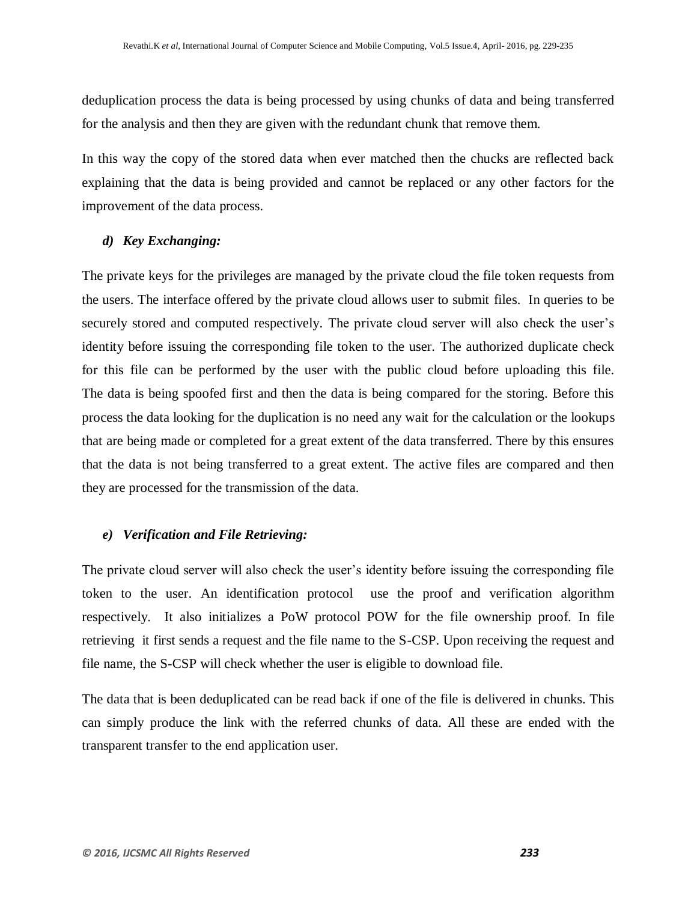deduplication process the data is being processed by using chunks of data and being transferred for the analysis and then they are given with the redundant chunk that remove them.

In this way the copy of the stored data when ever matched then the chucks are reflected back explaining that the data is being provided and cannot be replaced or any other factors for the improvement of the data process.

#### *d) Key Exchanging:*

The private keys for the privileges are managed by the private cloud the file token requests from the users. The interface offered by the private cloud allows user to submit files. In queries to be securely stored and computed respectively. The private cloud server will also check the user's identity before issuing the corresponding file token to the user. The authorized duplicate check for this file can be performed by the user with the public cloud before uploading this file. The data is being spoofed first and then the data is being compared for the storing. Before this process the data looking for the duplication is no need any wait for the calculation or the lookups that are being made or completed for a great extent of the data transferred. There by this ensures that the data is not being transferred to a great extent. The active files are compared and then they are processed for the transmission of the data.

#### *e) Verification and File Retrieving:*

The private cloud server will also check the user's identity before issuing the corresponding file token to the user. An identification protocol use the proof and verification algorithm respectively. It also initializes a PoW protocol POW for the file ownership proof. In file retrieving it first sends a request and the file name to the S-CSP. Upon receiving the request and file name, the S-CSP will check whether the user is eligible to download file.

The data that is been deduplicated can be read back if one of the file is delivered in chunks. This can simply produce the link with the referred chunks of data. All these are ended with the transparent transfer to the end application user.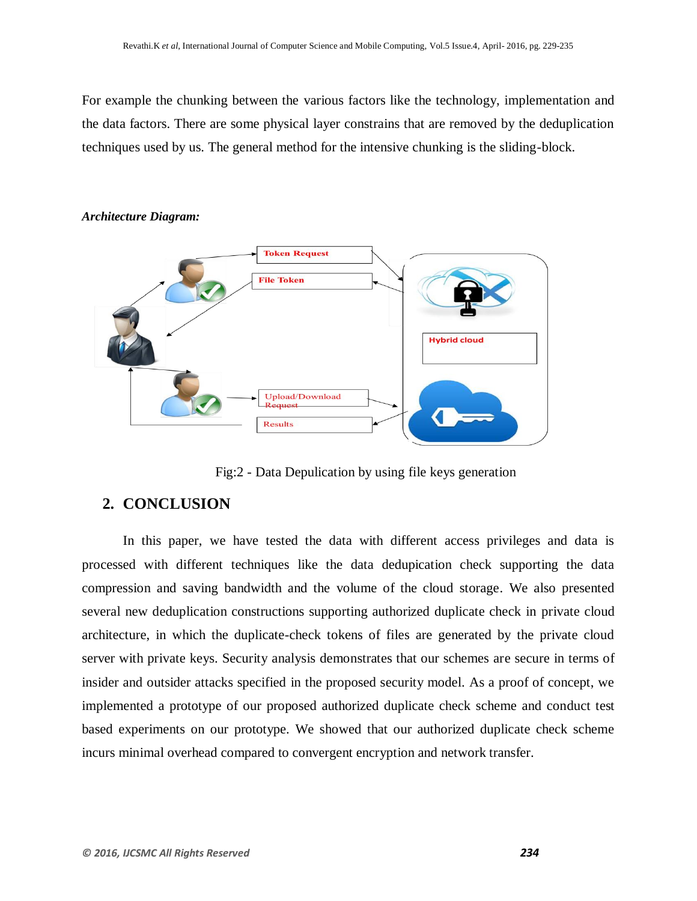For example the chunking between the various factors like the technology, implementation and the data factors. There are some physical layer constrains that are removed by the deduplication techniques used by us. The general method for the intensive chunking is the sliding-block.



#### *Architecture Diagram:*

Fig:2 - Data Depulication by using file keys generation

# **2. CONCLUSION**

In this paper, we have tested the data with different access privileges and data is processed with different techniques like the data dedupication check supporting the data compression and saving bandwidth and the volume of the cloud storage. We also presented several new deduplication constructions supporting authorized duplicate check in private cloud architecture, in which the duplicate-check tokens of files are generated by the private cloud server with private keys. Security analysis demonstrates that our schemes are secure in terms of insider and outsider attacks specified in the proposed security model. As a proof of concept, we implemented a prototype of our proposed authorized duplicate check scheme and conduct test based experiments on our prototype. We showed that our authorized duplicate check scheme incurs minimal overhead compared to convergent encryption and network transfer.